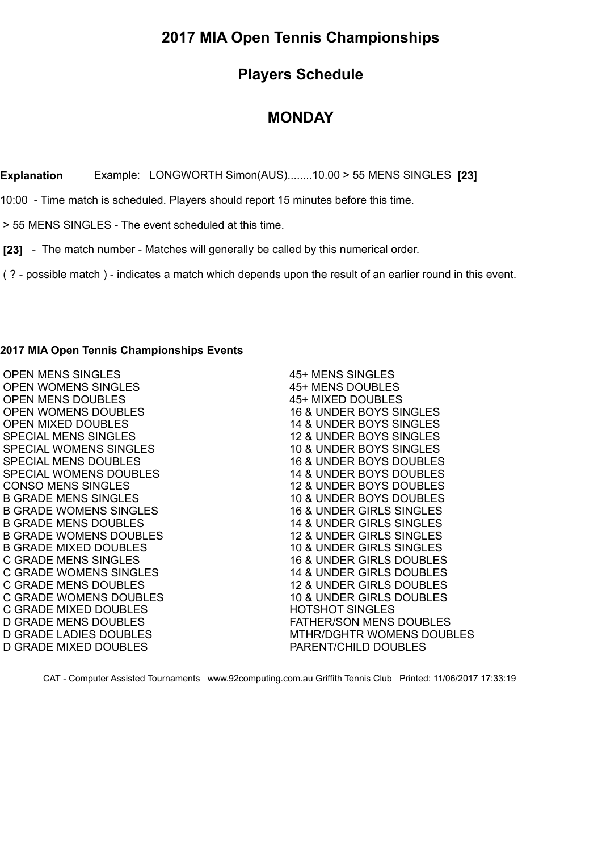## **2017 MIA Open Tennis Championships**

## **Players Schedule**

## **MONDAY**

**Explanation** Example: LONGWORTH Simon(AUS)........10.00 > 55 MENS SINGLES **[23]**

10:00 - Time match is scheduled. Players should report 15 minutes before this time.

> 55 MENS SINGLES - The event scheduled at this time.

 **[23]** - The match number - Matches will generally be called by this numerical order.

( ? - possible match ) - indicates a match which depends upon the result of an earlier round in this event.

## **2017 MIA Open Tennis Championships Events**

| <b>OPEN MENS SINGLES</b>      | 45+ MENS SINGLES                    |
|-------------------------------|-------------------------------------|
| <b>OPEN WOMENS SINGLES</b>    | 45+ MENS DOUBLES                    |
| <b>OPEN MENS DOUBLES</b>      | 45+ MIXED DOUBLES                   |
| OPEN WOMENS DOUBLES           | 16 & UNDER BOYS SINGLES             |
| <b>OPEN MIXED DOUBLES</b>     | 14 & UNDER BOYS SINGLES             |
| <b>SPECIAL MENS SINGLES</b>   | 12 & UNDER BOYS SINGLES             |
| SPECIAL WOMENS SINGLES        | 10 & UNDER BOYS SINGLES             |
| <b>SPECIAL MENS DOUBLES</b>   | <b>16 &amp; UNDER BOYS DOUBLES</b>  |
| SPECIAL WOMENS DOUBLES        | 14 & UNDER BOYS DOUBLES             |
| <b>CONSO MENS SINGLES</b>     | 12 & UNDER BOYS DOUBLES             |
| <b>B GRADE MENS SINGLES</b>   | 10 & UNDER BOYS DOUBLES             |
| <b>B GRADE WOMENS SINGLES</b> | 16 & UNDER GIRLS SINGLES            |
| <b>B GRADE MENS DOUBLES</b>   | <b>14 &amp; UNDER GIRLS SINGLES</b> |
| <b>B GRADE WOMENS DOUBLES</b> | 12 & UNDER GIRLS SINGLES            |
| <b>B GRADE MIXED DOUBLES</b>  | 10 & UNDER GIRLS SINGLES            |
| C GRADE MENS SINGLES          | <b>16 &amp; UNDER GIRLS DOUBLES</b> |
| <b>C GRADE WOMENS SINGLES</b> | 14 & UNDER GIRLS DOUBLES            |
| <b>C GRADE MENS DOUBLES</b>   | <b>12 &amp; UNDER GIRLS DOUBLES</b> |
| C GRADE WOMENS DOUBLES        | 10 & UNDER GIRLS DOUBLES            |
| <b>C GRADE MIXED DOUBLES</b>  | <b>HOTSHOT SINGLES</b>              |
| D GRADE MENS DOUBLES          | <b>FATHER/SON MENS DOUBLES</b>      |
| <b>D GRADE LADIES DOUBLES</b> | <b>MTHR/DGHTR WOMENS DOUBLES</b>    |
| <b>D GRADE MIXED DOUBLES</b>  | PARENT/CHILD DOUBLES                |
|                               |                                     |

CAT - Computer Assisted Tournaments www.92computing.com.au Griffith Tennis Club Printed: 11/06/2017 17:33:19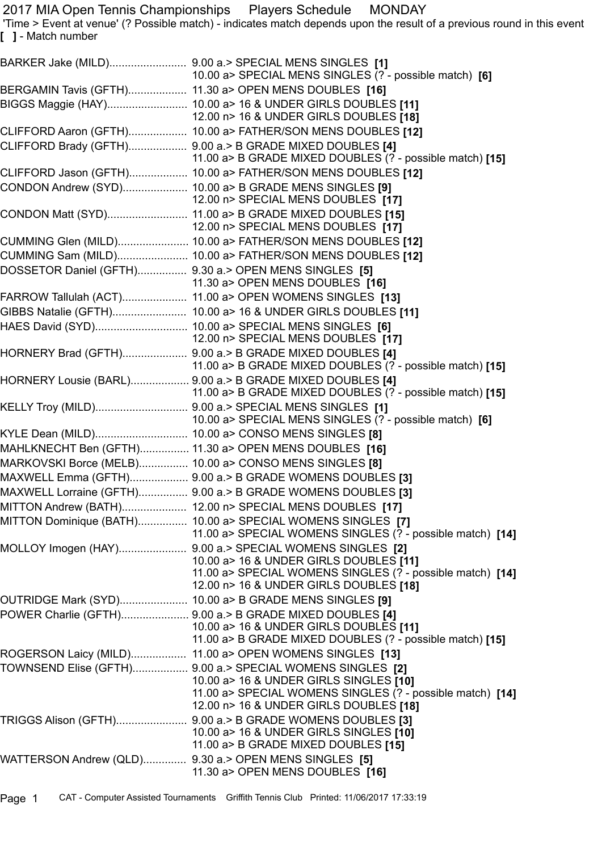2017 MIA Open Tennis Championships Players Schedule MONDAY

 'Time > Event at venue' (? Possible match) - indicates match depends upon the result of a previous round in this event **[ ]** - Match number

|                                                       | 10.00 a> SPECIAL MENS SINGLES (? - possible match) [6]                                                                                                                                                     |
|-------------------------------------------------------|------------------------------------------------------------------------------------------------------------------------------------------------------------------------------------------------------------|
|                                                       | BERGAMIN Tavis (GFTH) 11.30 a> OPEN MENS DOUBLES [16]                                                                                                                                                      |
|                                                       | BIGGS Maggie (HAY) 10.00 a> 16 & UNDER GIRLS DOUBLES [11]<br>12.00 n> 16 & UNDER GIRLS DOUBLES [18]                                                                                                        |
|                                                       | CLIFFORD Aaron (GFTH) 10.00 a> FATHER/SON MENS DOUBLES [12]                                                                                                                                                |
|                                                       | CLIFFORD Brady (GFTH) 9.00 a.> B GRADE MIXED DOUBLES [4]<br>11.00 a> B GRADE MIXED DOUBLES (? - possible match) [15]                                                                                       |
|                                                       | CLIFFORD Jason (GFTH) 10.00 a> FATHER/SON MENS DOUBLES [12]                                                                                                                                                |
|                                                       | CONDON Andrew (SYD) 10.00 a> B GRADE MENS SINGLES [9]<br>12.00 n> SPECIAL MENS DOUBLES [17]                                                                                                                |
|                                                       | CONDON Matt (SYD) 11.00 a> B GRADE MIXED DOUBLES [15]<br>12.00 n> SPECIAL MENS DOUBLES [17]                                                                                                                |
|                                                       | CUMMING Glen (MILD) 10.00 a> FATHER/SON MENS DOUBLES [12]                                                                                                                                                  |
|                                                       | CUMMING Sam (MILD) 10.00 a> FATHER/SON MENS DOUBLES [12]                                                                                                                                                   |
| DOSSETOR Daniel (GFTH) 9.30 a.> OPEN MENS SINGLES [5] | 11.30 a> OPEN MENS DOUBLES [16]                                                                                                                                                                            |
|                                                       | FARROW Tallulah (ACT) 11.00 a> OPEN WOMENS SINGLES [13]                                                                                                                                                    |
|                                                       | GIBBS Natalie (GFTH) 10.00 a> 16 & UNDER GIRLS DOUBLES [11]                                                                                                                                                |
|                                                       | HAES David (SYD) 10.00 a> SPECIAL MENS SINGLES [6]<br>12.00 n> SPECIAL MENS DOUBLES [17]                                                                                                                   |
|                                                       | HORNERY Brad (GFTH) 9.00 a.> B GRADE MIXED DOUBLES [4]<br>11.00 a> B GRADE MIXED DOUBLES (? - possible match) [15]                                                                                         |
|                                                       | HORNERY Lousie (BARL) 9.00 a.> B GRADE MIXED DOUBLES [4]<br>11.00 a> B GRADE MIXED DOUBLES (? - possible match) [15]                                                                                       |
|                                                       | 10.00 a> SPECIAL MENS SINGLES (? - possible match) [6]                                                                                                                                                     |
|                                                       | KYLE Dean (MILD) 10.00 a> CONSO MENS SINGLES [8]                                                                                                                                                           |
|                                                       | MAHLKNECHT Ben (GFTH) 11.30 a> OPEN MENS DOUBLES [16]                                                                                                                                                      |
|                                                       | MARKOVSKI Borce (MELB) 10.00 a> CONSO MENS SINGLES [8]                                                                                                                                                     |
|                                                       | MAXWELL Emma (GFTH) 9.00 a.> B GRADE WOMENS DOUBLES [3]                                                                                                                                                    |
|                                                       | MAXWELL Lorraine (GFTH) 9.00 a.> B GRADE WOMENS DOUBLES [3]                                                                                                                                                |
|                                                       | MITTON Andrew (BATH) 12.00 n> SPECIAL MENS DOUBLES [17]                                                                                                                                                    |
|                                                       | MITTON Dominique (BATH) 10.00 a> SPECIAL WOMENS SINGLES [7]<br>11.00 a> SPECIAL WOMENS SINGLES (? - possible match) [14]                                                                                   |
|                                                       | MOLLOY Imogen (HAY) 9.00 a.> SPECIAL WOMENS SINGLES [2]<br>10.00 a> 16 & UNDER GIRLS DOUBLES [11]<br>11.00 a> SPECIAL WOMENS SINGLES (? - possible match) [14]<br>12.00 n> 16 & UNDER GIRLS DOUBLES [18]   |
|                                                       | OUTRIDGE Mark (SYD) 10.00 a> B GRADE MENS SINGLES [9]                                                                                                                                                      |
|                                                       | POWER Charlie (GFTH) 9.00 a.> B GRADE MIXED DOUBLES [4]<br>10.00 a> 16 & UNDER GIRLS DOUBLES [11]<br>11.00 a> B GRADE MIXED DOUBLES (? - possible match) [15]                                              |
|                                                       | ROGERSON Laicy (MILD) 11.00 a> OPEN WOMENS SINGLES [13]                                                                                                                                                    |
|                                                       | TOWNSEND Elise (GFTH) 9.00 a.> SPECIAL WOMENS SINGLES [2]<br>10.00 a> 16 & UNDER GIRLS SINGLES [10]<br>11.00 a> SPECIAL WOMENS SINGLES (? - possible match) [14]<br>12.00 n> 16 & UNDER GIRLS DOUBLES [18] |
|                                                       | 10.00 a> 16 & UNDER GIRLS SINGLES [10]<br>11.00 a> B GRADE MIXED DOUBLES [15]                                                                                                                              |
| WATTERSON Andrew (QLD) 9.30 a.> OPEN MENS SINGLES [5] | 11.30 a> OPEN MENS DOUBLES [16]                                                                                                                                                                            |